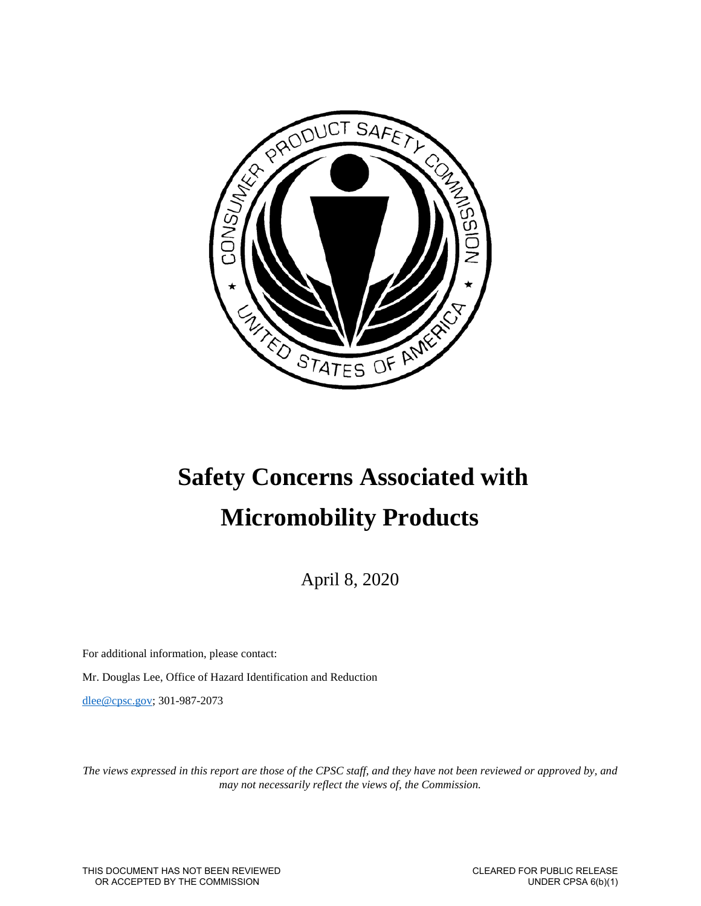

# **Safety Concerns Associated with Micromobility Products**

April 8, 2020

For additional information, please contact:

Mr. Douglas Lee, Office of Hazard Identification and Reduction

[dlee@cpsc.gov;](mailto:dlee@cpsc.gov) 301-987-2073

*The views expressed in this report are those of the CPSC staff, and they have not been reviewed or approved by, and may not necessarily reflect the views of, the Commission.*

THIS DOCUMENT HAS NOT BEEN REVIEWED OR ACCEPTED BY THE COMMISSION

 CLEARED FOR PUBLIC RELEASE UNDER CPSA 6(b)(1)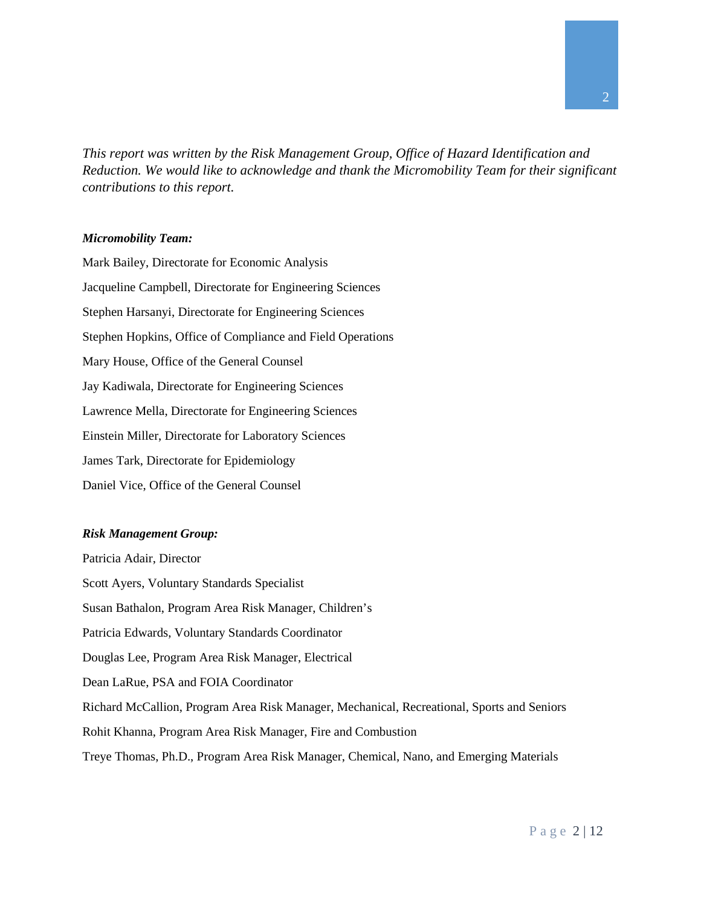*This report was written by the Risk Management Group, Office of Hazard Identification and Reduction. We would like to acknowledge and thank the Micromobility Team for their significant contributions to this report.* 

#### *Micromobility Team:*

Mark Bailey, Directorate for Economic Analysis Jacqueline Campbell, Directorate for Engineering Sciences Stephen Harsanyi, Directorate for Engineering Sciences Stephen Hopkins, Office of Compliance and Field Operations Mary House, Office of the General Counsel Jay Kadiwala, Directorate for Engineering Sciences Lawrence Mella, Directorate for Engineering Sciences Einstein Miller, Directorate for Laboratory Sciences James Tark, Directorate for Epidemiology Daniel Vice, Office of the General Counsel

#### *Risk Management Group:*

Patricia Adair, Director Scott Ayers, Voluntary Standards Specialist Susan Bathalon, Program Area Risk Manager, Children's Patricia Edwards, Voluntary Standards Coordinator Douglas Lee, Program Area Risk Manager, Electrical Dean LaRue, PSA and FOIA Coordinator Richard McCallion, Program Area Risk Manager, Mechanical, Recreational, Sports and Seniors Rohit Khanna, Program Area Risk Manager, Fire and Combustion Treye Thomas, Ph.D., Program Area Risk Manager, Chemical, Nano, and Emerging Materials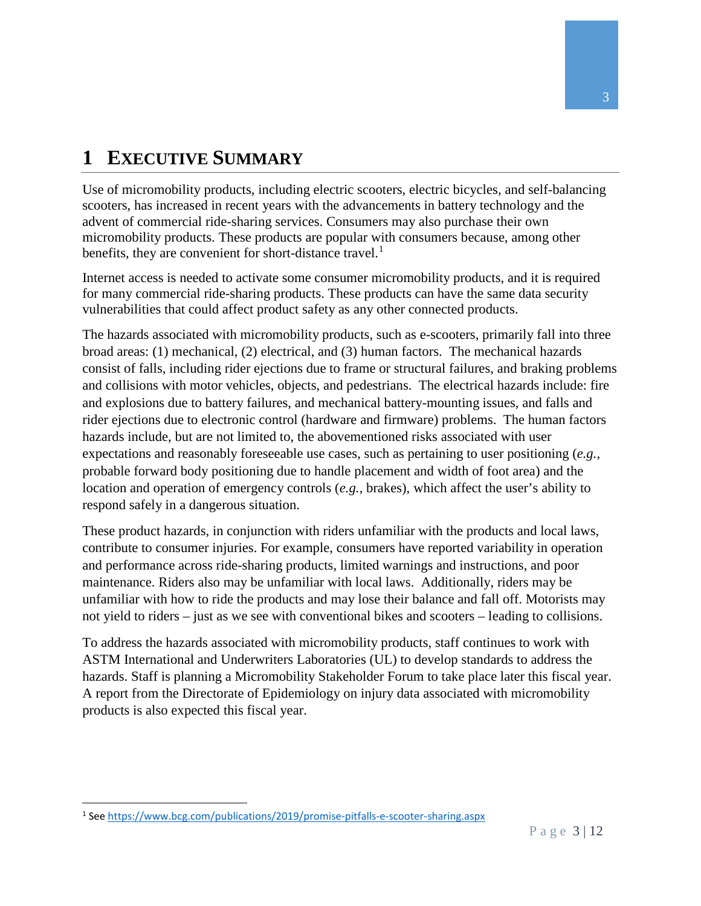## <span id="page-2-1"></span>**1 EXECUTIVE SUMMARY**

Use of micromobility products, including electric scooters, electric bicycles, and self-balancing scooters, has increased in recent years with the advancements in battery technology and the advent of commercial ride-sharing services. Consumers may also purchase their own micromobility products. These products are popular with consumers because, among other benefits, they are convenient for short-distance travel.<sup>[1](#page-2-0)</sup>

Internet access is needed to activate some consumer micromobility products, and it is required for many commercial ride-sharing products. These products can have the same data security vulnerabilities that could affect product safety as any other connected products.

The hazards associated with micromobility products, such as e-scooters, primarily fall into three broad areas: (1) mechanical, (2) electrical, and (3) human factors. The mechanical hazards consist of falls, including rider ejections due to frame or structural failures, and braking problems and collisions with motor vehicles, objects, and pedestrians. The electrical hazards include: fire and explosions due to battery failures, and mechanical battery-mounting issues, and falls and rider ejections due to electronic control (hardware and firmware) problems. The human factors hazards include, but are not limited to, the abovementioned risks associated with user expectations and reasonably foreseeable use cases, such as pertaining to user positioning (*e.g.,* probable forward body positioning due to handle placement and width of foot area) and the location and operation of emergency controls (*e.g.,* brakes), which affect the user's ability to respond safely in a dangerous situation.

These product hazards, in conjunction with riders unfamiliar with the products and local laws, contribute to consumer injuries. For example, consumers have reported variability in operation and performance across ride-sharing products, limited warnings and instructions, and poor maintenance. Riders also may be unfamiliar with local laws. Additionally, riders may be unfamiliar with how to ride the products and may lose their balance and fall off. Motorists may not yield to riders – just as we see with conventional bikes and scooters – leading to collisions.

To address the hazards associated with micromobility products, staff continues to work with ASTM International and Underwriters Laboratories (UL) to develop standards to address the hazards. Staff is planning a Micromobility Stakeholder Forum to take place later this fiscal year. A report from the Directorate of Epidemiology on injury data associated with micromobility products is also expected this fiscal year.

<span id="page-2-0"></span> <sup>1</sup> See<https://www.bcg.com/publications/2019/promise-pitfalls-e-scooter-sharing.aspx>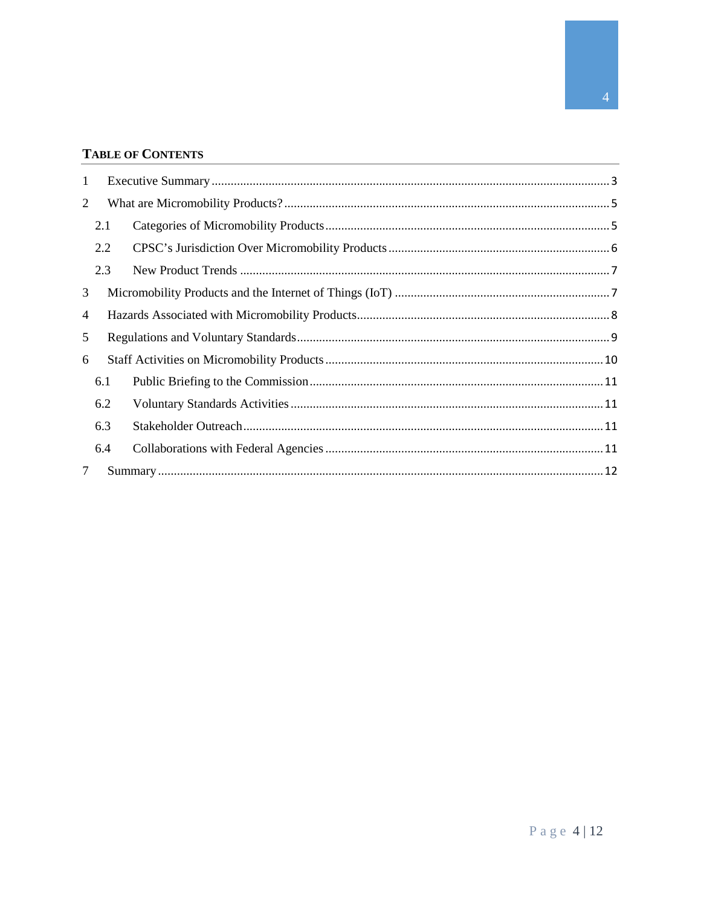#### **TABLE OF CONTENTS**

| 1 |     |  |  |
|---|-----|--|--|
| 2 |     |  |  |
|   | 2.1 |  |  |
|   | 2.2 |  |  |
|   | 2.3 |  |  |
| 3 |     |  |  |
| 4 |     |  |  |
| 5 |     |  |  |
| 6 |     |  |  |
|   | 6.1 |  |  |
|   | 6.2 |  |  |
|   | 6.3 |  |  |
|   | 6.4 |  |  |
| 7 |     |  |  |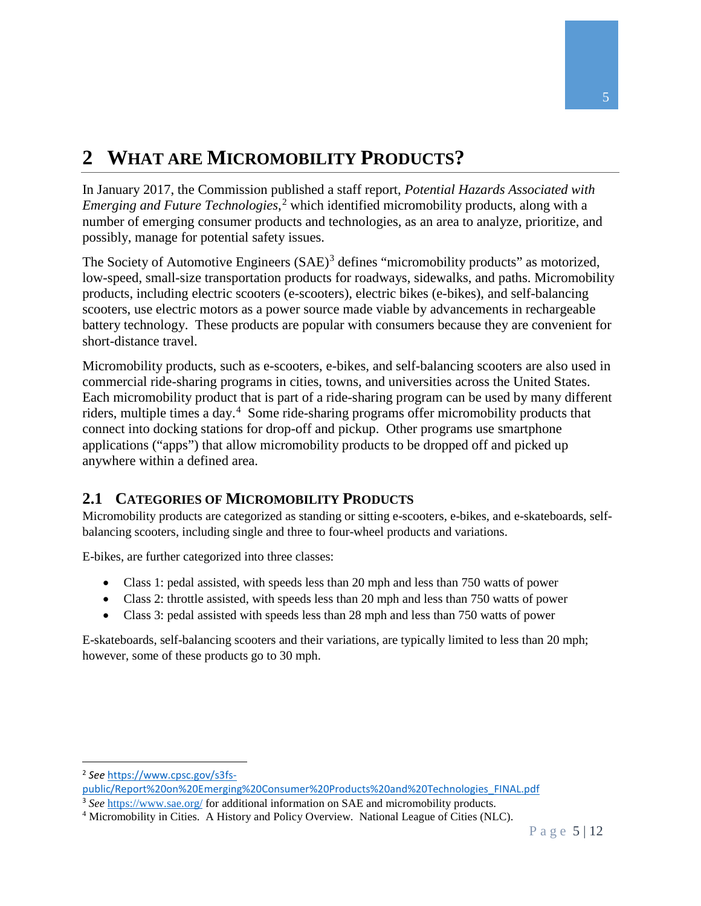### <span id="page-4-0"></span>**2 WHAT ARE MICROMOBILITY PRODUCTS?**

In January 2017, the Commission published a staff report, *Potential Hazards Associated with Emerging and Future Technologies*, [2](#page-4-2) which identified micromobility products, along with a number of emerging consumer products and technologies, as an area to analyze, prioritize, and possibly, manage for potential safety issues.

The Society of Automotive Engineers (SAE)<sup>[3](#page-4-3)</sup> defines "micromobility products" as motorized, low-speed, small-size transportation products for roadways, sidewalks, and paths. Micromobility products, including electric scooters (e-scooters), electric bikes (e-bikes), and self-balancing scooters, use electric motors as a power source made viable by advancements in rechargeable battery technology. These products are popular with consumers because they are convenient for short-distance travel.

Micromobility products, such as e-scooters, e-bikes, and self-balancing scooters are also used in commercial ride-sharing programs in cities, towns, and universities across the United States. Each micromobility product that is part of a ride-sharing program can be used by many different riders, multiple times a day.<sup>[4](#page-4-4)</sup> Some ride-sharing programs offer micromobility products that connect into docking stations for drop-off and pickup. Other programs use smartphone applications ("apps") that allow micromobility products to be dropped off and picked up anywhere within a defined area.

### <span id="page-4-1"></span>**2.1 CATEGORIES OF MICROMOBILITY PRODUCTS**

Micromobility products are categorized as standing or sitting e-scooters, e-bikes, and e-skateboards, selfbalancing scooters, including single and three to four-wheel products and variations.

E-bikes, are further categorized into three classes:

- Class 1: pedal assisted, with speeds less than 20 mph and less than 750 watts of power
- Class 2: throttle assisted, with speeds less than 20 mph and less than 750 watts of power
- Class 3: pedal assisted with speeds less than 28 mph and less than 750 watts of power

E-skateboards, self-balancing scooters and their variations, are typically limited to less than 20 mph; however, some of these products go to 30 mph.

<span id="page-4-2"></span> <sup>2</sup> *See* [https://www.cpsc.gov/s3fs-](https://www.cpsc.gov/s3fs-public/Report%20on%20Emerging%20Consumer%20Products%20and%20Technologies_FINAL.pdf)

[public/Report%20on%20Emerging%20Consumer%20Products%20and%20Technologies\\_FINAL.pdf](https://www.cpsc.gov/s3fs-public/Report%20on%20Emerging%20Consumer%20Products%20and%20Technologies_FINAL.pdf)

<span id="page-4-3"></span><sup>3</sup> *See* <https://www.sae.org/> for additional information on SAE and micromobility products.

<span id="page-4-4"></span><sup>4</sup> Micromobility in Cities. A History and Policy Overview. National League of Cities (NLC).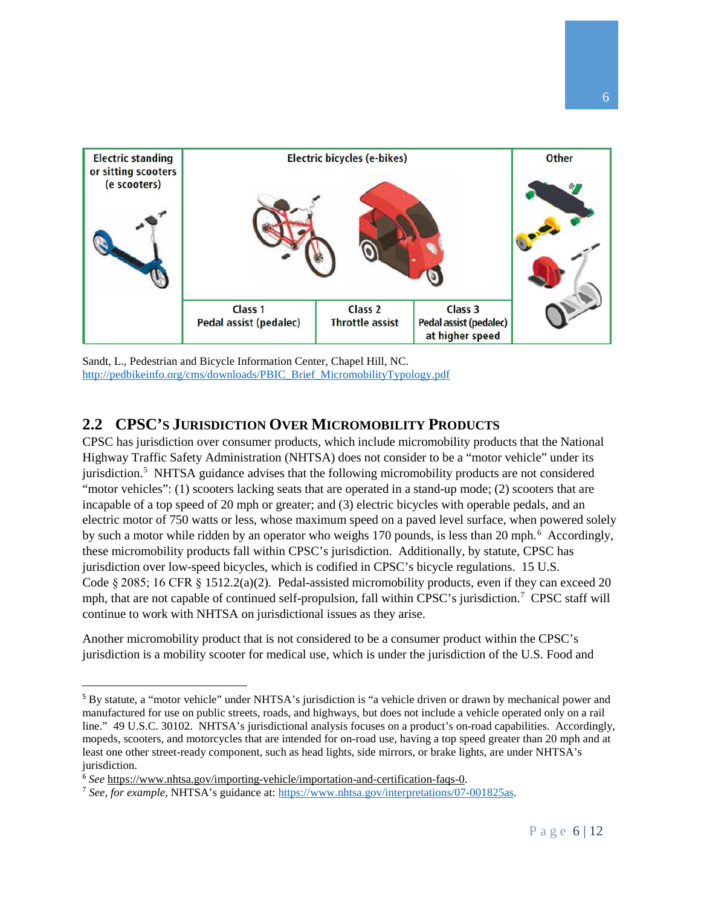

Sandt, L., Pedestrian and Bicycle Information Center, Chapel Hill, NC. [http://pedbikeinfo.org/cms/downloads/PBIC\\_Brief\\_MicromobilityTypology.pdf](http://pedbikeinfo.org/cms/downloads/PBIC_Brief_MicromobilityTypology.pdf)

#### <span id="page-5-0"></span>**2.2 CPSC'S JURISDICTION OVER MICROMOBILITY PRODUCTS**

CPSC has jurisdiction over consumer products, which include micromobility products that the National Highway Traffic Safety Administration (NHTSA) does not consider to be a "motor vehicle" under its jurisdiction.<sup>[5](#page-5-1)</sup> NHTSA guidance advises that the following micromobility products are not considered "motor vehicles": (1) scooters lacking seats that are operated in a stand-up mode; (2) scooters that are incapable of a top speed of 20 mph or greater; and (3) electric bicycles with operable pedals, and an electric motor of 750 watts or less, whose maximum speed on a paved level surface, when powered solely by such a motor while ridden by an operator who weighs 170 pounds, is less than 20 mph.<sup>[6](#page-5-2)</sup> Accordingly, these micromobility products fall within CPSC's jurisdiction. Additionally, by statute, CPSC has jurisdiction over low-speed bicycles, which is codified in CPSC's bicycle regulations. 15 U.S. Code § 2085; 16 CFR § 1512.2(a)(2). Pedal-assisted micromobility products, even if they can exceed 20 mph, that are not capable of continued self-propulsion, fall within CPSC's jurisdiction.<sup>[7](#page-5-3)</sup> CPSC staff will continue to work with NHTSA on jurisdictional issues as they arise.

Another micromobility product that is not considered to be a consumer product within the CPSC's jurisdiction is a mobility scooter for medical use, which is under the jurisdiction of the U.S. Food and

<span id="page-5-1"></span> <sup>5</sup> By statute, a "motor vehicle" under NHTSA's jurisdiction is "a vehicle driven or drawn by mechanical power and manufactured for use on public streets, roads, and highways, but does not include a vehicle operated only on a rail line." 49 U.S.C. 30102. NHTSA's jurisdictional analysis focuses on a product's on-road capabilities. Accordingly, mopeds, scooters, and motorcycles that are intended for on-road use, having a top speed greater than 20 mph and at least one other street-ready component, such as head lights, side mirrors, or brake lights, are under NHTSA's jurisdiction.

<span id="page-5-2"></span><sup>6</sup> *See* [https://www.nhtsa.gov/importing-vehicle/importation-and-certification-faqs-0.](https://www.nhtsa.gov/importing-vehicle/importation-and-certification-faqs-0)

<span id="page-5-3"></span><sup>7</sup> *See, for example*, NHTSA's guidance at: [https://www.nhtsa.gov/interpretations/07-001825as.](https://www.nhtsa.gov/interpretations/07-001825as)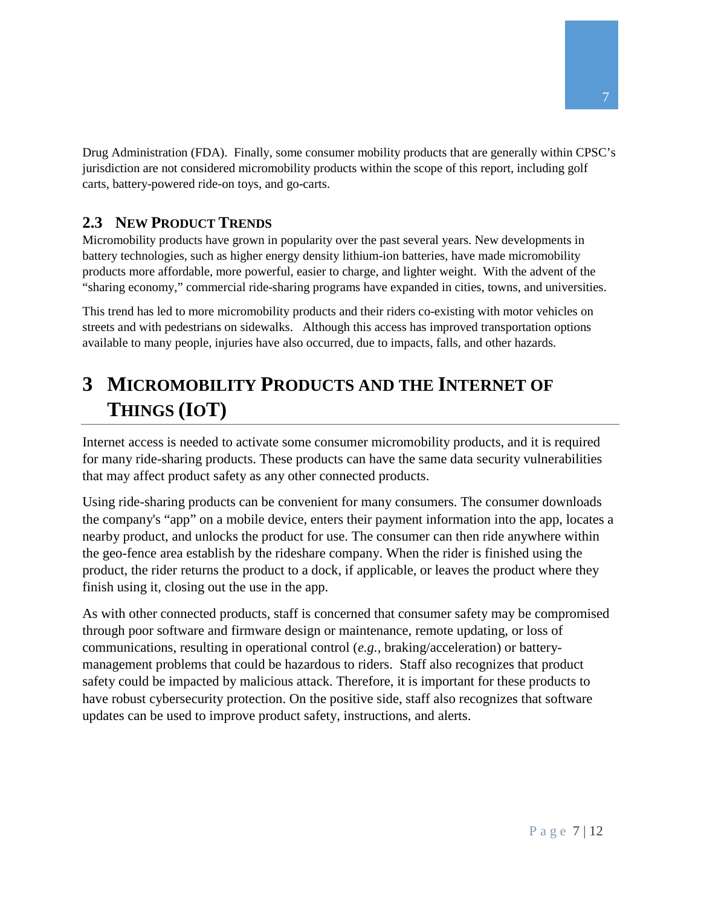Drug Administration (FDA). Finally, some consumer mobility products that are generally within CPSC's jurisdiction are not considered micromobility products within the scope of this report, including golf carts, battery-powered ride-on toys, and go-carts.

### <span id="page-6-0"></span>**2.3 NEW PRODUCT TRENDS**

Micromobility products have grown in popularity over the past several years. New developments in battery technologies, such as higher energy density lithium-ion batteries, have made micromobility products more affordable, more powerful, easier to charge, and lighter weight. With the advent of the "sharing economy," commercial ride-sharing programs have expanded in cities, towns, and universities.

This trend has led to more micromobility products and their riders co-existing with motor vehicles on streets and with pedestrians on sidewalks. Although this access has improved transportation options available to many people, injuries have also occurred, due to impacts, falls, and other hazards.

### <span id="page-6-1"></span>**3 MICROMOBILITY PRODUCTS AND THE INTERNET OF THINGS (IOT)**

Internet access is needed to activate some consumer micromobility products, and it is required for many ride-sharing products. These products can have the same data security vulnerabilities that may affect product safety as any other connected products.

Using ride-sharing products can be convenient for many consumers. The consumer downloads the company's "app" on a mobile device, enters their payment information into the app, locates a nearby product, and unlocks the product for use. The consumer can then ride anywhere within the geo-fence area establish by the rideshare company. When the rider is finished using the product, the rider returns the product to a dock, if applicable, or leaves the product where they finish using it, closing out the use in the app.

As with other connected products, staff is concerned that consumer safety may be compromised through poor software and firmware design or maintenance, remote updating, or loss of communications, resulting in operational control (*e.g.,* braking/acceleration) or batterymanagement problems that could be hazardous to riders. Staff also recognizes that product safety could be impacted by malicious attack. Therefore, it is important for these products to have robust cybersecurity protection. On the positive side, staff also recognizes that software updates can be used to improve product safety, instructions, and alerts.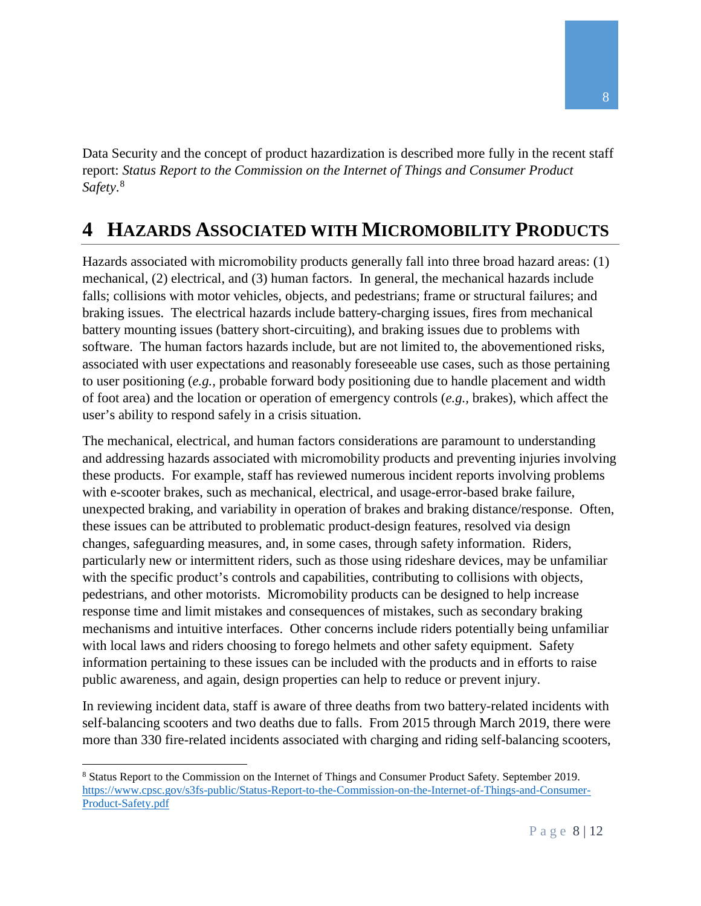Data Security and the concept of product hazardization is described more fully in the recent staff report: *Status Report to the Commission on the Internet of Things and Consumer Product Safety*. [8](#page-7-1)

### <span id="page-7-0"></span>**4 HAZARDS ASSOCIATED WITH MICROMOBILITY PRODUCTS**

Hazards associated with micromobility products generally fall into three broad hazard areas: (1) mechanical, (2) electrical, and (3) human factors. In general, the mechanical hazards include falls; collisions with motor vehicles, objects, and pedestrians; frame or structural failures; and braking issues. The electrical hazards include battery-charging issues, fires from mechanical battery mounting issues (battery short-circuiting), and braking issues due to problems with software. The human factors hazards include, but are not limited to, the abovementioned risks, associated with user expectations and reasonably foreseeable use cases, such as those pertaining to user positioning (*e.g.,* probable forward body positioning due to handle placement and width of foot area) and the location or operation of emergency controls (*e.g.,* brakes), which affect the user's ability to respond safely in a crisis situation.

The mechanical, electrical, and human factors considerations are paramount to understanding and addressing hazards associated with micromobility products and preventing injuries involving these products. For example, staff has reviewed numerous incident reports involving problems with e-scooter brakes, such as mechanical, electrical, and usage-error-based brake failure, unexpected braking, and variability in operation of brakes and braking distance/response. Often, these issues can be attributed to problematic product-design features, resolved via design changes, safeguarding measures, and, in some cases, through safety information. Riders, particularly new or intermittent riders, such as those using rideshare devices, may be unfamiliar with the specific product's controls and capabilities, contributing to collisions with objects, pedestrians, and other motorists. Micromobility products can be designed to help increase response time and limit mistakes and consequences of mistakes, such as secondary braking mechanisms and intuitive interfaces. Other concerns include riders potentially being unfamiliar with local laws and riders choosing to forego helmets and other safety equipment. Safety information pertaining to these issues can be included with the products and in efforts to raise public awareness, and again, design properties can help to reduce or prevent injury.

In reviewing incident data, staff is aware of three deaths from two battery-related incidents with self-balancing scooters and two deaths due to falls. From 2015 through March 2019, there were more than 330 fire-related incidents associated with charging and riding self-balancing scooters,

l

<span id="page-7-1"></span><sup>8</sup> Status Report to the Commission on the Internet of Things and Consumer Product Safety. September 2019. [https://www.cpsc.gov/s3fs-public/Status-Report-to-the-Commission-on-the-Internet-of-Things-and-Consumer-](https://www.cpsc.gov/s3fs-public/Status-Report-to-the-Commission-on-the-Internet-of-Things-and-Consumer-Product-Safety.pdf)[Product-Safety.pdf](https://www.cpsc.gov/s3fs-public/Status-Report-to-the-Commission-on-the-Internet-of-Things-and-Consumer-Product-Safety.pdf)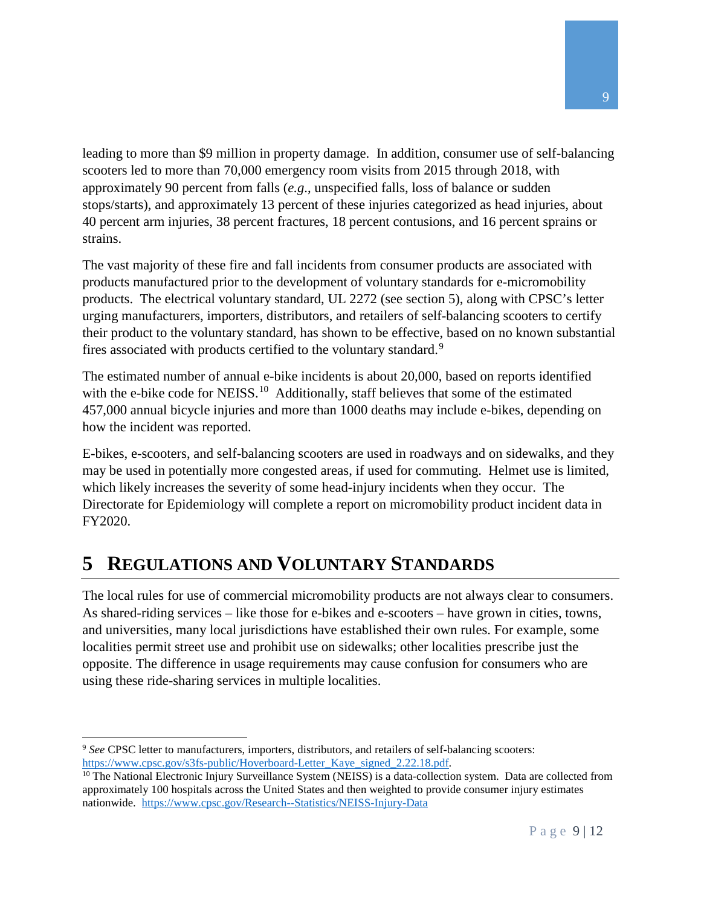leading to more than \$9 million in property damage. In addition, consumer use of self-balancing scooters led to more than 70,000 emergency room visits from 2015 through 2018, with approximately 90 percent from falls (*e.g*., unspecified falls, loss of balance or sudden stops/starts), and approximately 13 percent of these injuries categorized as head injuries, about 40 percent arm injuries, 38 percent fractures, 18 percent contusions, and 16 percent sprains or strains.

The vast majority of these fire and fall incidents from consumer products are associated with products manufactured prior to the development of voluntary standards for e-micromobility products. The electrical voluntary standard, UL 2272 (see section 5), along with CPSC's letter urging manufacturers, importers, distributors, and retailers of self-balancing scooters to certify their product to the voluntary standard, has shown to be effective, based on no known substantial fires associated with products certified to the voluntary standard.<sup>[9](#page-8-1)</sup>

The estimated number of annual e-bike incidents is about 20,000, based on reports identified with the e-bike code for NEISS.<sup>10</sup> Additionally, staff believes that some of the estimated 457,000 annual bicycle injuries and more than 1000 deaths may include e-bikes, depending on how the incident was reported.

E-bikes, e-scooters, and self-balancing scooters are used in roadways and on sidewalks, and they may be used in potentially more congested areas, if used for commuting. Helmet use is limited, which likely increases the severity of some head-injury incidents when they occur. The Directorate for Epidemiology will complete a report on micromobility product incident data in FY2020.

### <span id="page-8-0"></span>**5 REGULATIONS AND VOLUNTARY STANDARDS**

The local rules for use of commercial micromobility products are not always clear to consumers. As shared-riding services – like those for e-bikes and e-scooters – have grown in cities, towns, and universities, many local jurisdictions have established their own rules. For example, some localities permit street use and prohibit use on sidewalks; other localities prescribe just the opposite. The difference in usage requirements may cause confusion for consumers who are using these ride-sharing services in multiple localities.

<span id="page-8-1"></span>l <sup>9</sup> *See* CPSC letter to manufacturers, importers, distributors, and retailers of self-balancing scooters: [https://www.cpsc.gov/s3fs-public/Hoverboard-Letter\\_Kaye\\_signed\\_2.22.18.pdf.](https://www.cpsc.gov/s3fs-public/Hoverboard-Letter_Kaye_signed_2.22.18.pdf)

<span id="page-8-2"></span><sup>&</sup>lt;sup>10</sup> The National Electronic Injury Surveillance System (NEISS) is a data-collection system. Data are collected from approximately 100 hospitals across the United States and then weighted to provide consumer injury estimates nationwide. <https://www.cpsc.gov/Research--Statistics/NEISS-Injury-Data>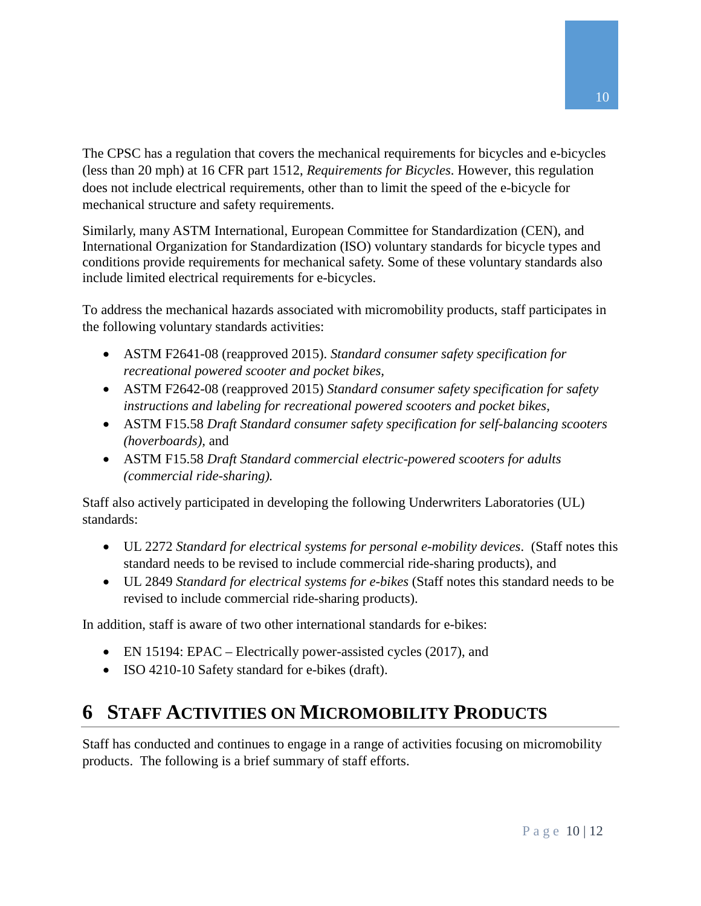The CPSC has a regulation that covers the mechanical requirements for bicycles and e-bicycles (less than 20 mph) at 16 CFR part 1512, *Requirements for Bicycles*. However, this regulation does not include electrical requirements, other than to limit the speed of the e-bicycle for mechanical structure and safety requirements.

Similarly, many ASTM International, European Committee for Standardization (CEN), and International Organization for Standardization (ISO) voluntary standards for bicycle types and conditions provide requirements for mechanical safety. Some of these voluntary standards also include limited electrical requirements for e-bicycles.

To address the mechanical hazards associated with micromobility products, staff participates in the following voluntary standards activities:

- ASTM F2641-08 (reapproved 2015). *Standard consumer safety specification for recreational powered scooter and pocket bikes,*
- ASTM F2642-08 (reapproved 2015) *Standard consumer safety specification for safety instructions and labeling for recreational powered scooters and pocket bikes,*
- ASTM F15.58 *Draft Standard consumer safety specification for self-balancing scooters (hoverboards),* and
- ASTM F15.58 *Draft Standard commercial electric-powered scooters for adults (commercial ride-sharing).*

Staff also actively participated in developing the following Underwriters Laboratories (UL) standards:

- UL 2272 *Standard for electrical systems for personal e-mobility devices*. (Staff notes this standard needs to be revised to include commercial ride-sharing products), and
- UL 2849 *Standard for electrical systems for e-bikes* (Staff notes this standard needs to be revised to include commercial ride-sharing products).

In addition, staff is aware of two other international standards for e-bikes:

- EN 15194: EPAC Electrically power-assisted cycles (2017), and
- ISO 4210-10 Safety standard for e-bikes (draft).

### <span id="page-9-0"></span>**6 STAFF ACTIVITIES ON MICROMOBILITY PRODUCTS**

Staff has conducted and continues to engage in a range of activities focusing on micromobility products. The following is a brief summary of staff efforts.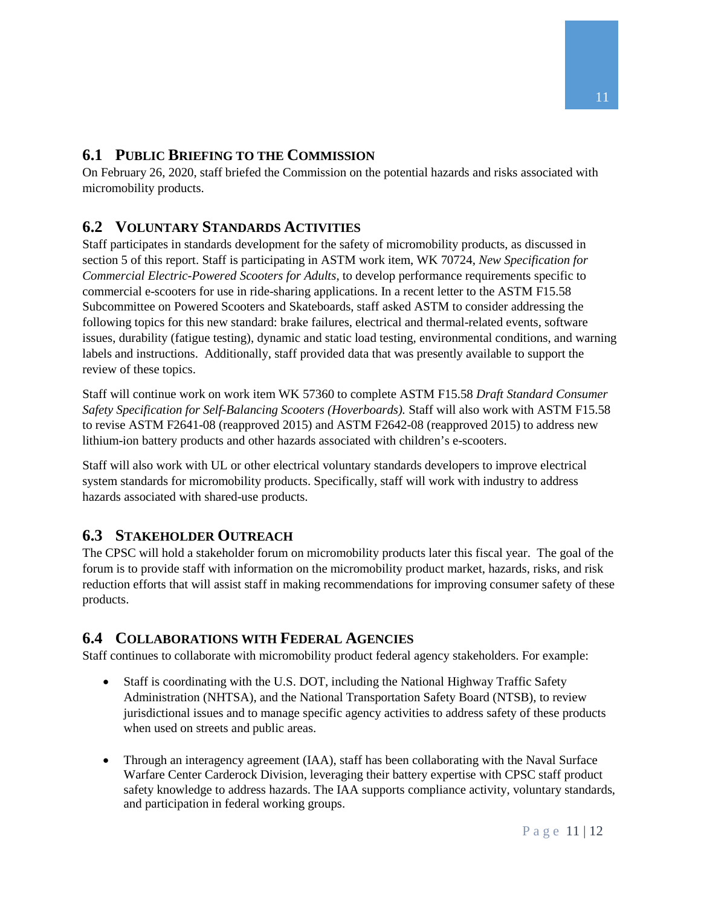### <span id="page-10-0"></span>**6.1 PUBLIC BRIEFING TO THE COMMISSION**

On February 26, 2020, staff briefed the Commission on the potential hazards and risks associated with micromobility products.

### <span id="page-10-1"></span>**6.2 VOLUNTARY STANDARDS ACTIVITIES**

Staff participates in standards development for the safety of micromobility products, as discussed in section 5 of this report. Staff is participating in ASTM work item, WK 70724, *New Specification for Commercial Electric-Powered Scooters for Adults*, to develop performance requirements specific to commercial e-scooters for use in ride-sharing applications. In a recent letter to the ASTM F15.58 Subcommittee on Powered Scooters and Skateboards, staff asked ASTM to consider addressing the following topics for this new standard: brake failures, electrical and thermal-related events, software issues, durability (fatigue testing), dynamic and static load testing, environmental conditions, and warning labels and instructions. Additionally, staff provided data that was presently available to support the review of these topics.

Staff will continue work on work item WK 57360 to complete ASTM F15.58 *Draft Standard Consumer Safety Specification for Self-Balancing Scooters (Hoverboards).* Staff will also work with ASTM F15.58 to revise ASTM F2641-08 (reapproved 2015) and ASTM F2642-08 (reapproved 2015) to address new lithium-ion battery products and other hazards associated with children's e-scooters.

Staff will also work with UL or other electrical voluntary standards developers to improve electrical system standards for micromobility products. Specifically, staff will work with industry to address hazards associated with shared-use products.

### <span id="page-10-2"></span>**6.3 STAKEHOLDER OUTREACH**

The CPSC will hold a stakeholder forum on micromobility products later this fiscal year. The goal of the forum is to provide staff with information on the micromobility product market, hazards, risks, and risk reduction efforts that will assist staff in making recommendations for improving consumer safety of these products.

### <span id="page-10-3"></span>**6.4 COLLABORATIONS WITH FEDERAL AGENCIES**

Staff continues to collaborate with micromobility product federal agency stakeholders. For example:

- Staff is coordinating with the U.S. DOT, including the National Highway Traffic Safety Administration (NHTSA), and the National Transportation Safety Board (NTSB), to review jurisdictional issues and to manage specific agency activities to address safety of these products when used on streets and public areas.
- Through an interagency agreement (IAA), staff has been collaborating with the Naval Surface Warfare Center Carderock Division, leveraging their battery expertise with CPSC staff product safety knowledge to address hazards. The IAA supports compliance activity, voluntary standards, and participation in federal working groups.